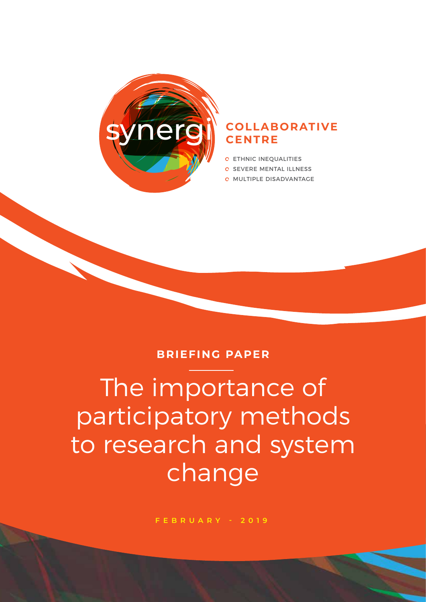

#### synergi **COLLABORATIVE CENTRE**

- **C** ETHNIC INEQUALITIES
- **C SEVERE MENTAL ILLNESS**
- MULTIPLE DISADVANTAGE

#### **BRIEFING PAPER**

The importance of participatory methods to research and system change

**FEBRUARY - 2019**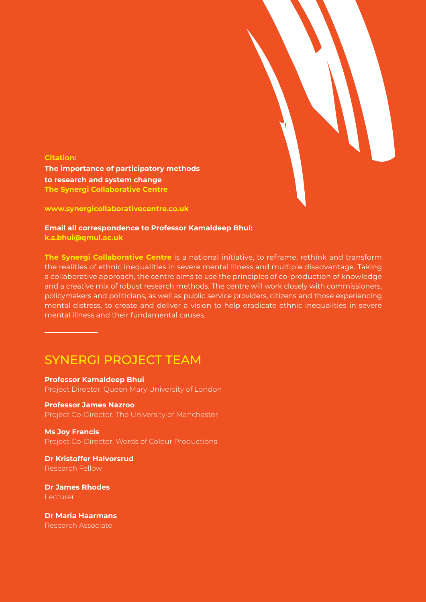

**Citation: The importance of participatory methods to research and system change The Synergi Collaborative Centre**

**www.synergicollaborativecentre.co.uk**

**Email all correspondence to Professor Kamaldeep Bhui: k.s.bhui@qmul.ac.uk**

**The Synergi Collaborative Centre** is a national initiative, to reframe, rethink and transform the realities of ethnic inequalities in severe mental illness and multiple disadvantage. Taking a collaborative approach, the centre aims to use the principles of co-production of knowledge and a creative mix of robust research methods. The centre will work closely with commissioners, policymakers and politicians, as well as public service providers, citizens and those experiencing mental distress, to create and deliver a vision to help eradicate ethnic inequalities in severe mental illness and their fundamental causes.

#### SYNERGI PROJECT TEAM

**Professor Kamaldeep Bhui** Project Director, Queen Mary University of London

#### **Professor James Nazroo** Project Co-Director, The University of Manchester

**Ms Joy Francis** Project Co-Director, Words of Colour Productions

**Dr Kristoffer Halvorsrud** Research Fellow

**Dr James Rhodes Lecturer** 

**Dr Maria Haarmans** Research Associate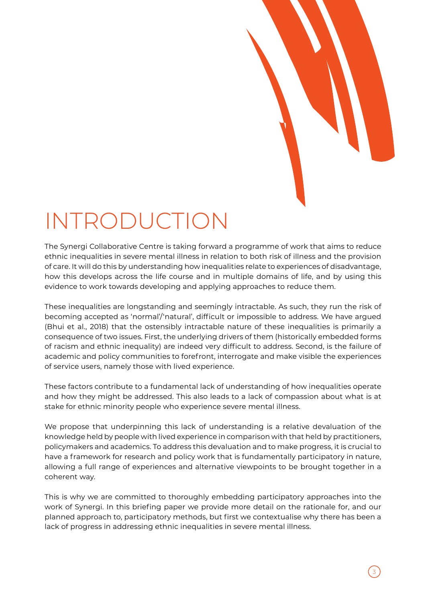

# INTRODUCTION

The Synergi Collaborative Centre is taking forward a programme of work that aims to reduce ethnic inequalities in severe mental illness in relation to both risk of illness and the provision of care. It will do this by understanding how inequalities relate to experiences of disadvantage, how this develops across the life course and in multiple domains of life, and by using this evidence to work towards developing and applying approaches to reduce them.

These inequalities are longstanding and seemingly intractable. As such, they run the risk of becoming accepted as 'normal'/'natural', difficult or impossible to address. We have argued (Bhui et al., 2018) that the ostensibly intractable nature of these inequalities is primarily a consequence of two issues. First, the underlying drivers of them (historically embedded forms of racism and ethnic inequality) are indeed very difficult to address. Second, is the failure of academic and policy communities to forefront, interrogate and make visible the experiences of service users, namely those with lived experience.

These factors contribute to a fundamental lack of understanding of how inequalities operate and how they might be addressed. This also leads to a lack of compassion about what is at stake for ethnic minority people who experience severe mental illness.

We propose that underpinning this lack of understanding is a relative devaluation of the knowledge held by people with lived experience in comparison with that held by practitioners, policymakers and academics. To address this devaluation and to make progress, it is crucial to have a framework for research and policy work that is fundamentally participatory in nature, allowing a full range of experiences and alternative viewpoints to be brought together in a coherent way.

This is why we are committed to thoroughly embedding participatory approaches into the work of Synergi. In this briefing paper we provide more detail on the rationale for, and our planned approach to, participatory methods, but first we contextualise why there has been a lack of progress in addressing ethnic inequalities in severe mental illness.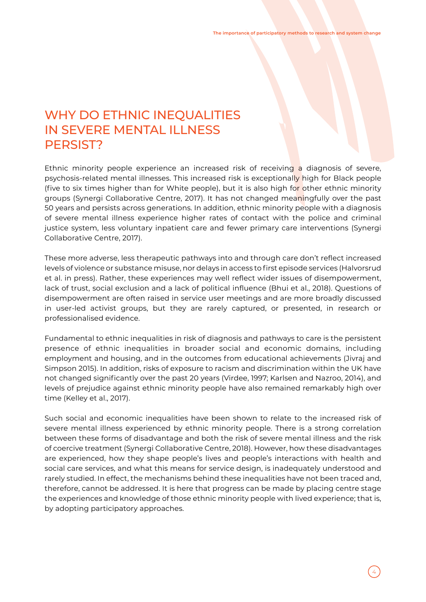### WHY DO ETHNIC INEQUALITIES IN SEVERE MENTAL ILLNESS PERSIST?

Ethnic minority people experience an increased risk of receiving a diagnosis of severe, psychosis-related mental illnesses. This increased risk is exceptionally high for Black people (five to six times higher than for White people), but it is also high for other ethnic minority groups (Synergi Collaborative Centre, 2017). It has not changed meaningfully over the past 50 years and persists across generations. In addition, ethnic minority people with a diagnosis of severe mental illness experience higher rates of contact with the police and criminal justice system, less voluntary inpatient care and fewer primary care interventions (Synergi Collaborative Centre, 2017).

These more adverse, less therapeutic pathways into and through care don't reflect increased levels of violence or substance misuse, nor delays in access to first episode services (Halvorsrud et al. in press). Rather, these experiences may well reflect wider issues of disempowerment, lack of trust, social exclusion and a lack of political influence (Bhui et al., 2018). Questions of disempowerment are often raised in service user meetings and are more broadly discussed in user-led activist groups, but they are rarely captured, or presented, in research or professionalised evidence.

Fundamental to ethnic inequalities in risk of diagnosis and pathways to care is the persistent presence of ethnic inequalities in broader social and economic domains, including employment and housing, and in the outcomes from educational achievements (Jivraj and Simpson 2015). In addition, risks of exposure to racism and discrimination within the UK have not changed significantly over the past 20 years (Virdee, 1997; Karlsen and Nazroo, 2014), and levels of prejudice against ethnic minority people have also remained remarkably high over time (Kelley et al., 2017).

Such social and economic inequalities have been shown to relate to the increased risk of severe mental illness experienced by ethnic minority people. There is a strong correlation between these forms of disadvantage and both the risk of severe mental illness and the risk of coercive treatment (Synergi Collaborative Centre, 2018). However, how these disadvantages are experienced, how they shape people's lives and people's interactions with health and social care services, and what this means for service design, is inadequately understood and rarely studied. In effect, the mechanisms behind these inequalities have not been traced and, therefore, cannot be addressed. It is here that progress can be made by placing centre stage the experiences and knowledge of those ethnic minority people with lived experience; that is, by adopting participatory approaches.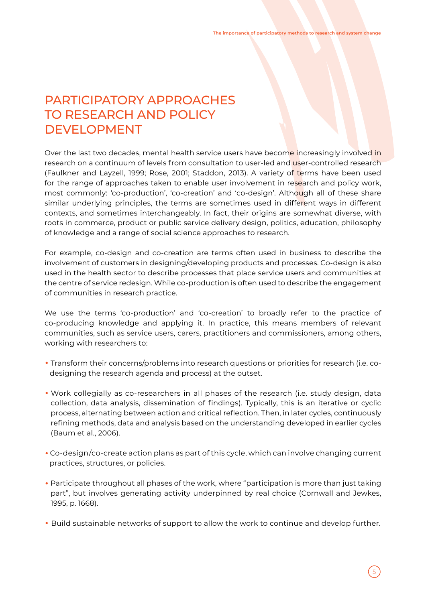## PARTICIPATORY APPROACHES TO RESEARCH AND POLICY DEVELOPMENT

Over the last two decades, mental health service users have become increasingly involved in research on a continuum of levels from consultation to user-led and user-controlled research (Faulkner and Layzell, 1999; Rose, 2001; Staddon, 2013). A variety of terms have been used for the range of approaches taken to enable user involvement in research and policy work, most commonly: 'co-production', 'co-creation' and 'co-design'. Although all of these share similar underlying principles, the terms are sometimes used in different ways in different contexts, and sometimes interchangeably. In fact, their origins are somewhat diverse, with roots in commerce, product or public service delivery design, politics, education, philosophy of knowledge and a range of social science approaches to research.

For example, co-design and co-creation are terms often used in business to describe the involvement of customers in designing/developing products and processes. Co-design is also used in the health sector to describe processes that place service users and communities at the centre of service redesign. While co-production is often used to describe the engagement of communities in research practice.

We use the terms 'co-production' and 'co-creation' to broadly refer to the practice of co-producing knowledge and applying it. In practice, this means members of relevant communities, such as service users, carers, practitioners and commissioners, among others, working with researchers to:

- Transform their concerns/problems into research questions or priorities for research (i.e. co designing the research agenda and process) at the outset.
- Work collegially as co-researchers in all phases of the research (i.e. study design, data collection, data analysis, dissemination of findings). Typically, this is an iterative or cyclic process, alternating between action and critical reflection. Then, in later cycles, continuously refining methods, data and analysis based on the understanding developed in earlier cycles (Baum et al., 2006).
- Co-design/co-create action plans as part of this cycle, which can involve changing current practices, structures, or policies.
- Participate throughout all phases of the work, where "participation is more than just taking part", but involves generating activity underpinned by real choice (Cornwall and Jewkes, 1995, p. 1668).
- Build sustainable networks of support to allow the work to continue and develop further.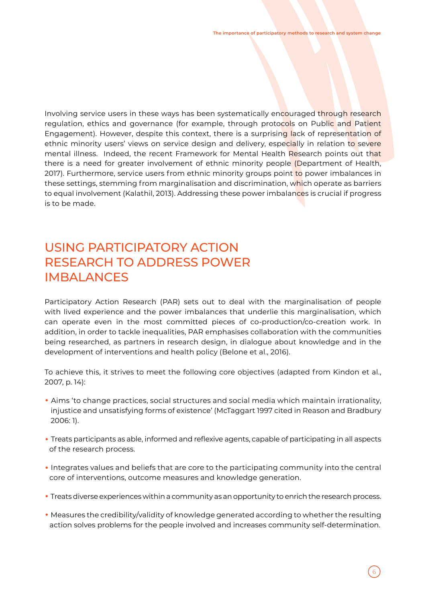Involving service users in these ways has been systematically encouraged through research regulation, ethics and governance (for example, through protocols on Public and Patient Engagement). However, despite this context, there is a surprising lack of representation of ethnic minority users' views on service design and delivery, especially in relation to severe mental illness. Indeed, the recent Framework for Mental Health Research points out that there is a need for greater involvement of ethnic minority people (Department of Health, 2017). Furthermore, service users from ethnic minority groups point to power imbalances in these settings, stemming from marginalisation and discrimination, which operate as barriers to equal involvement (Kalathil, 2013). Addressing these power imbalances is crucial if progress is to be made.

## USING PARTICIPATORY ACTION RESEARCH TO ADDRESS POWER IMBALANCES

Participatory Action Research (PAR) sets out to deal with the marginalisation of people with lived experience and the power imbalances that underlie this marginalisation, which can operate even in the most committed pieces of co-production/co-creation work. In addition, in order to tackle inequalities, PAR emphasises collaboration with the communities being researched, as partners in research design, in dialogue about knowledge and in the development of interventions and health policy (Belone et al., 2016).

To achieve this, it strives to meet the following core objectives (adapted from Kindon et al., 2007, p. 14):

- Aims 'to change practices, social structures and social media which maintain irrationality, injustice and unsatisfying forms of existence' (McTaggart 1997 cited in Reason and Bradbury 2006: 1).
- Treats participants as able, informed and reflexive agents, capable of participating in all aspects of the research process.
- Integrates values and beliefs that are core to the participating community into the central core of interventions, outcome measures and knowledge generation.
- Treats diverse experiences within a community as an opportunity to enrich the research process.
- Measures the credibility/validity of knowledge generated according to whether the resulting action solves problems for the people involved and increases community self-determination.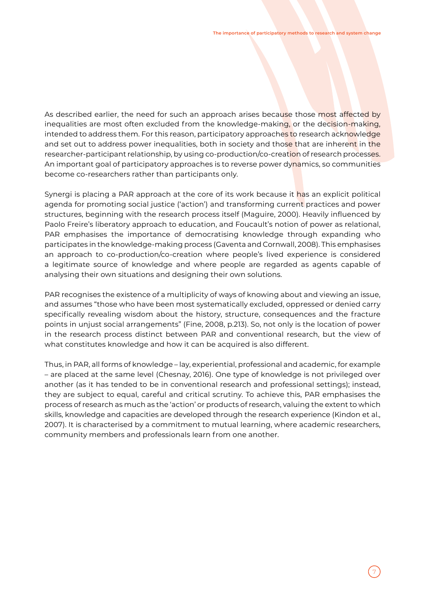As described earlier, the need for such an approach arises because those most affected by inequalities are most often excluded from the knowledge-making, or the decision-making, intended to address them. For this reason, participatory approaches to research acknowledge and set out to address power inequalities, both in society and those that are inherent in the researcher-participant relationship, by using co-production/co-creation of research processes. An important goal of participatory approaches is to reverse power dynamics, so communities become co-researchers rather than participants only.

Synergi is placing a PAR approach at the core of its work because it has an explicit political agenda for promoting social justice ('action') and transforming current practices and power structures, beginning with the research process itself (Maguire, 2000). Heavily influenced by Paolo Freire's liberatory approach to education, and Foucault's notion of power as relational, PAR emphasises the importance of democratising knowledge through expanding who participates in the knowledge-making process (Gaventa and Cornwall, 2008). This emphasises an approach to co-production/co-creation where people's lived experience is considered a legitimate source of knowledge and where people are regarded as agents capable of analysing their own situations and designing their own solutions.

PAR recognises the existence of a multiplicity of ways of knowing about and viewing an issue, and assumes "those who have been most systematically excluded, oppressed or denied carry specifically revealing wisdom about the history, structure, consequences and the fracture points in unjust social arrangements" (Fine, 2008, p.213). So, not only is the location of power in the research process distinct between PAR and conventional research, but the view of what constitutes knowledge and how it can be acquired is also different.

Thus, in PAR, all forms of knowledge – lay, experiential, professional and academic, for example – are placed at the same level (Chesnay, 2016). One type of knowledge is not privileged over another (as it has tended to be in conventional research and professional settings); instead, they are subject to equal, careful and critical scrutiny. To achieve this, PAR emphasises the process of research as much as the 'action' or products of research, valuing the extent to which skills, knowledge and capacities are developed through the research experience (Kindon et al., 2007). It is characterised by a commitment to mutual learning, where academic researchers, community members and professionals learn from one another.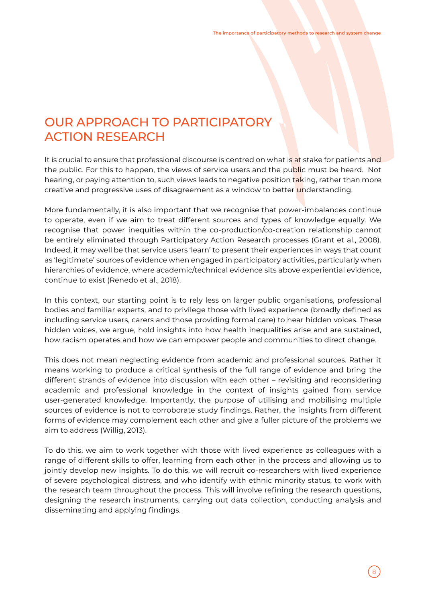## OUR APPROACH TO PARTICIPATORY ACTION RESEARCH

It is crucial to ensure that professional discourse is centred on what is at stake for patients and the public. For this to happen, the views of service users and the public must be heard. Not hearing, or paying attention to, such views leads to negative position taking, rather than more creative and progressive uses of disagreement as a window to better understanding.

More fundamentally, it is also important that we recognise that power-imbalances continue to operate, even if we aim to treat different sources and types of knowledge equally. We recognise that power inequities within the co-production/co-creation relationship cannot be entirely eliminated through Participatory Action Research processes (Grant et al., 2008). Indeed, it may well be that service users 'learn' to present their experiences in ways that count as 'legitimate' sources of evidence when engaged in participatory activities, particularly when hierarchies of evidence, where academic/technical evidence sits above experiential evidence, continue to exist (Renedo et al., 2018).

In this context, our starting point is to rely less on larger public organisations, professional bodies and familiar experts, and to privilege those with lived experience (broadly defined as including service users, carers and those providing formal care) to hear hidden voices. These hidden voices, we argue, hold insights into how health inequalities arise and are sustained, how racism operates and how we can empower people and communities to direct change.

This does not mean neglecting evidence from academic and professional sources. Rather it means working to produce a critical synthesis of the full range of evidence and bring the different strands of evidence into discussion with each other – revisiting and reconsidering academic and professional knowledge in the context of insights gained from service user-generated knowledge. Importantly, the purpose of utilising and mobilising multiple sources of evidence is not to corroborate study findings. Rather, the insights from different forms of evidence may complement each other and give a fuller picture of the problems we aim to address (Willig, 2013).

To do this, we aim to work together with those with lived experience as colleagues with a range of different skills to offer, learning from each other in the process and allowing us to jointly develop new insights. To do this, we will recruit co-researchers with lived experience of severe psychological distress, and who identify with ethnic minority status, to work with the research team throughout the process. This will involve refining the research questions, designing the research instruments, carrying out data collection, conducting analysis and disseminating and applying findings.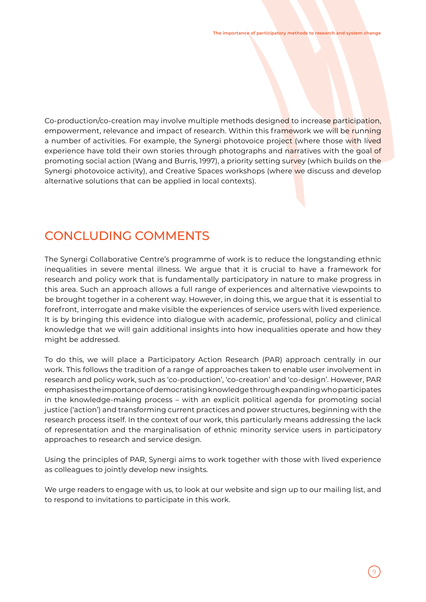Co-production/co-creation may involve multiple methods designed to increase participation, empowerment, relevance and impact of research. Within this framework we will be running a number of activities. For example, the Synergi photovoice project (where those with lived experience have told their own stories through photographs and narratives with the goal of promoting social action (Wang and Burris, 1997), a priority setting survey (which builds on the Synergi photovoice activity), and Creative Spaces workshops (where we discuss and develop alternative solutions that can be applied in local contexts).

### CONCLUDING COMMENTS

The Synergi Collaborative Centre's programme of work is to reduce the longstanding ethnic inequalities in severe mental illness. We argue that it is crucial to have a framework for research and policy work that is fundamentally participatory in nature to make progress in this area. Such an approach allows a full range of experiences and alternative viewpoints to be brought together in a coherent way. However, in doing this, we argue that it is essential to forefront, interrogate and make visible the experiences of service users with lived experience. It is by bringing this evidence into dialogue with academic, professional, policy and clinical knowledge that we will gain additional insights into how inequalities operate and how they might be addressed.

To do this, we will place a Participatory Action Research (PAR) approach centrally in our work. This follows the tradition of a range of approaches taken to enable user involvement in research and policy work, such as 'co-production', 'co-creation' and 'co-design'. However, PAR emphasises the importance of democratising knowledge through expanding who participates in the knowledge-making process – with an explicit political agenda for promoting social justice ('action') and transforming current practices and power structures, beginning with the research process itself. In the context of our work, this particularly means addressing the lack of representation and the marginalisation of ethnic minority service users in participatory approaches to research and service design.

Using the principles of PAR, Synergi aims to work together with those with lived experience as colleagues to jointly develop new insights.

We urge readers to engage with us, to look at our website and sign up to our mailing list, and to respond to invitations to participate in this work.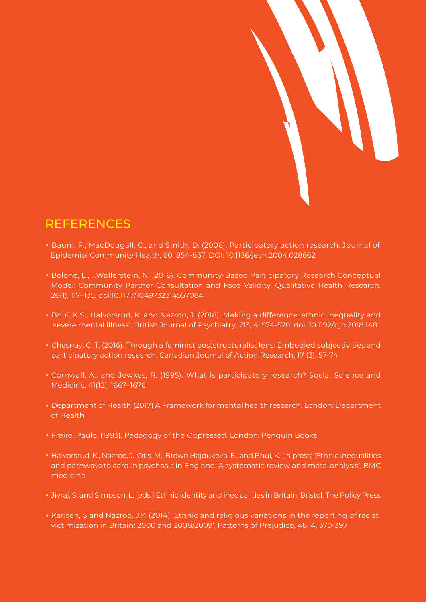

# REFERENCES

- Baum, F., MacDougall, C., and Smith, D. (2006). Participatory action research. Journal of Epidemiol Community Health, 60, 854-857. DOI: 10.1136/jech.2004.028662
- Belone, L., …Wallerstein, N. (2016). Community-Based Participatory Research Conceptual Model: Community Partner Consultation and Face Validity. Qualitative Health Research, 26(1), 117–135. doi:10.1177/1049732314557084
- Bhui, K.S., Halvorsrud, K. and Nazroo, J. (2018) 'Making a difference: ethnic inequality and severe mental illness', British Journal of Psychiatry, 213, 4, 574-578, doi: 10.1192/bjp.2018.148
- Chesnay, C. T. (2016). Through a feminist poststructuralist lens: Embodied subjectivities and participatory action research. Canadian Journal of Action Research, 17 (3), 57-74
- Cornwall, A., and Jewkes, R. (1995). What is participatory research? Social Science and Medicine, 41(12), 1667–1676
- Department of Health (2017) A Framework for mental health research, London: Department of Health
- Freire, Paulo. (1993). Pedagogy of the Oppressed. London: Penguin Books
- Halvorsrud, K., Nazroo, J., Otis, M., Brown Hajdukova, E., and Bhui, K. (in press) 'Ethnic inequalities and pathways to care in psychosis in England: A systematic review and meta-analysis', BMC medicine
- Jivraj, S. and Simpson, L. (eds.) Ethnic identity and inequalities in Britain. Bristol: The Policy Press
- Karlsen, S and Nazroo, J.Y. (2014) 'Ethnic and religious variations in the reporting of racist victimization in Britain: 2000 and 2008/2009', Patterns of Prejudice, 48, 4, 370-397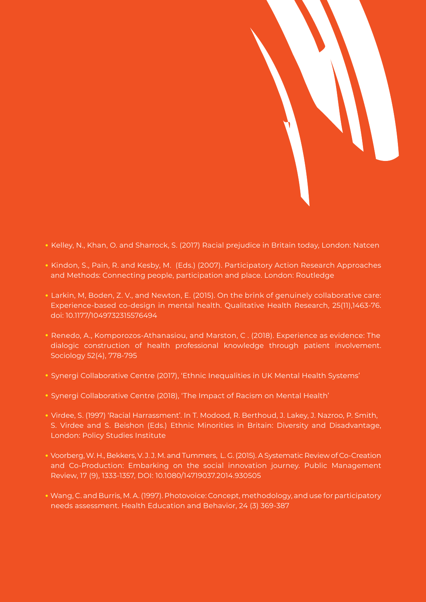

- Kelley, N., Khan, O. and Sharrock, S. (2017) Racial prejudice in Britain today, London: Natcen
- Kindon, S., Pain, R. and Kesby, M. (Eds.) (2007). Participatory Action Research Approaches and Methods: Connecting people, participation and place. London: Routledge
- Larkin, M, Boden, Z. V., and Newton, E. (2015). On the brink of genuinely collaborative care: Experience-based co-design in mental health. Qualitative Health Research, 25(11),1463-76. doi: 10.1177/1049732315576494
- Renedo, A., Komporozos-Athanasiou, and Marston, C . (2018). Experience as evidence: The dialogic construction of health professional knowledge through patient involvement. Sociology 52(4), 778-795
- Synergi Collaborative Centre (2017), 'Ethnic Inequalities in UK Mental Health Systems'
- Synergi Collaborative Centre (2018), 'The Impact of Racism on Mental Health'
- Virdee, S. (1997) 'Racial Harrassment'. In T. Modood, R. Berthoud, J. Lakey, J. Nazroo, P. Smith, S. Virdee and S. Beishon (Eds.) Ethnic Minorities in Britain: Diversity and Disadvantage, London: Policy Studies Institute
- Voorberg, W. H., Bekkers, V. J. J. M. and Tummers, L. G. (2015). A Systematic Review of Co-Creation and Co-Production: Embarking on the social innovation journey. Public Management Review, 17 (9), 1333-1357, DOI: 10.1080/14719037.2014.930505
- Wang, C. and Burris, M. A. (1997). Photovoice: Concept, methodology, and use for participatory needs assessment. Health Education and Behavior, 24 (3) 369-387